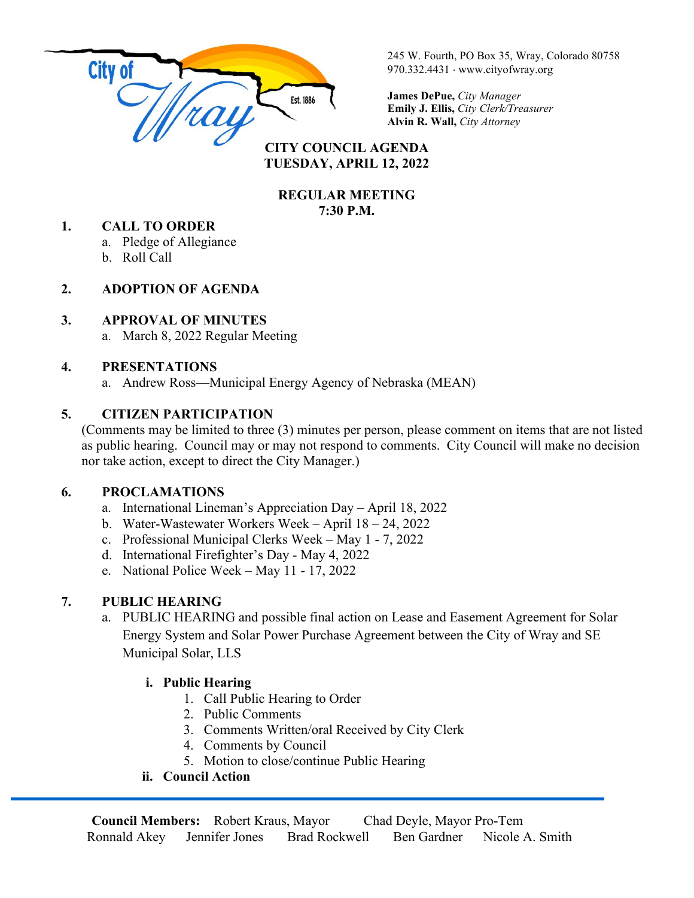

245 W. Fourth, PO Box 35, Wray, Colorado 80758 970.332.4431 ⋅ www.cityofwray.org

**James DePue,** *City Manager* **Emily J. Ellis,** *City Clerk/Treasurer* **Alvin R. Wall,** *City Attorney*

#### **CITY COUNCIL AGENDA TUESDAY, APRIL 12, 2022**

#### **REGULAR MEETING 7:30 P.M.**

#### **1. CALL TO ORDER**

- a. Pledge of Allegiance
- b. Roll Call

# **2. ADOPTION OF AGENDA**

#### **3. APPROVAL OF MINUTES**

a. March 8, 2022 Regular Meeting

#### **4. PRESENTATIONS**

a. Andrew Ross—Municipal Energy Agency of Nebraska (MEAN)

# **5. CITIZEN PARTICIPATION**

(Comments may be limited to three (3) minutes per person, please comment on items that are not listed as public hearing. Council may or may not respond to comments. City Council will make no decision nor take action, except to direct the City Manager.)

# **6. PROCLAMATIONS**

- a. International Lineman's Appreciation Day April 18, 2022
- b. Water-Wastewater Workers Week April 18 24, 2022
- c. Professional Municipal Clerks Week May 1 7, 2022
- d. International Firefighter's Day May 4, 2022
- e. National Police Week May 11 17, 2022

# **7. PUBLIC HEARING**

a. PUBLIC HEARING and possible final action on Lease and Easement Agreement for Solar Energy System and Solar Power Purchase Agreement between the City of Wray and SE Municipal Solar, LLS

# **i. Public Hearing**

- 1. Call Public Hearing to Order
- 2. Public Comments
- 3. Comments Written/oral Received by City Clerk
- 4. Comments by Council
- 5. Motion to close/continue Public Hearing

# **ii. Council Action**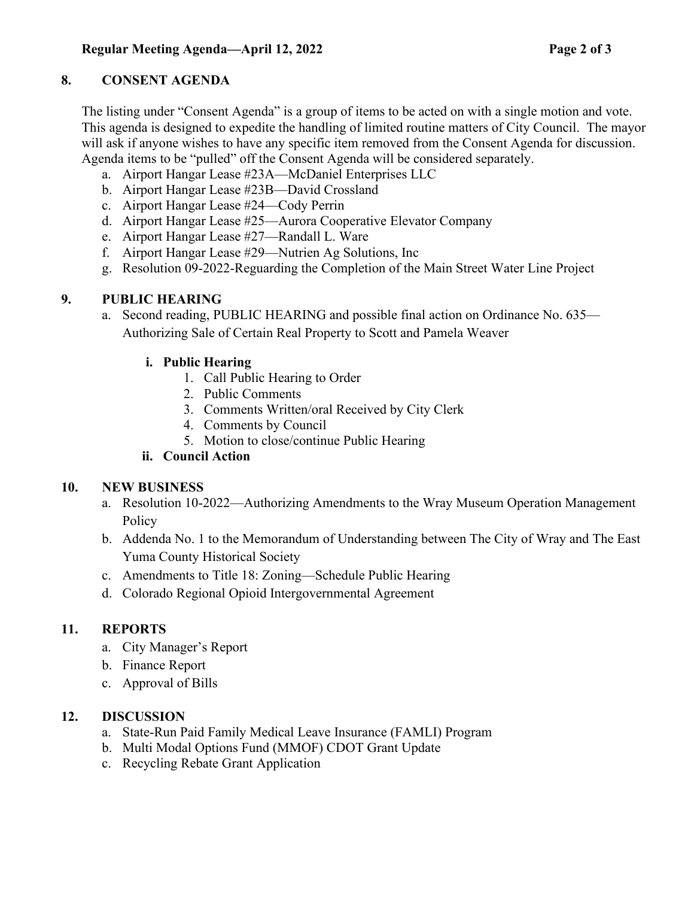# **8. CONSENT AGENDA**

The listing under "Consent Agenda" is a group of items to be acted on with a single motion and vote. This agenda is designed to expedite the handling of limited routine matters of City Council. The mayor will ask if anyone wishes to have any specific item removed from the Consent Agenda for discussion. Agenda items to be "pulled" off the Consent Agenda will be considered separately.

- a. Airport Hangar Lease #23A—McDaniel Enterprises LLC
- b. Airport Hangar Lease #23B—David Crossland
- c. Airport Hangar Lease #24—Cody Perrin
- d. Airport Hangar Lease #25—Aurora Cooperative Elevator Company
- e. Airport Hangar Lease #27—Randall L. Ware
- f. Airport Hangar Lease #29—Nutrien Ag Solutions, Inc
- g. Resolution 09-2022-Reguarding the Completion of the Main Street Water Line Project

#### **9. PUBLIC HEARING**

a. Second reading, PUBLIC HEARING and possible final action on Ordinance No. 635— Authorizing Sale of Certain Real Property to Scott and Pamela Weaver

#### **i. Public Hearing**

- 1. Call Public Hearing to Order
- 2. Public Comments
- 3. Comments Written/oral Received by City Clerk
- 4. Comments by Council
- 5. Motion to close/continue Public Hearing

# **ii. Council Action**

# **10. NEW BUSINESS**

- a. Resolution 10-2022—Authorizing Amendments to the Wray Museum Operation Management **Policy**
- b. Addenda No. 1 to the Memorandum of Understanding between The City of Wray and The East Yuma County Historical Society
- c. Amendments to Title 18: Zoning—Schedule Public Hearing
- d. Colorado Regional Opioid Intergovernmental Agreement

# **11. REPORTS**

- a. City Manager's Report
- b. Finance Report
- c. Approval of Bills

# **12. DISCUSSION**

- a. State-Run Paid Family Medical Leave Insurance (FAMLI) Program
- b. Multi Modal Options Fund (MMOF) CDOT Grant Update
- c. Recycling Rebate Grant Application